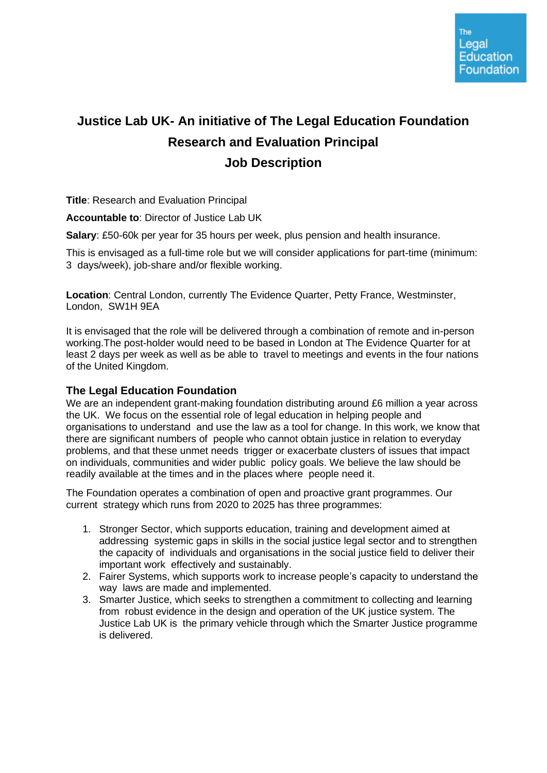# **Justice Lab UK- An initiative of The Legal Education Foundation Research and Evaluation Principal Job Description**

**Title**: Research and Evaluation Principal

**Accountable to**: Director of Justice Lab UK

**Salary**: £50-60k per year for 35 hours per week, plus pension and health insurance.

This is envisaged as a full-time role but we will consider applications for part-time (minimum: 3 days/week), job-share and/or flexible working.

**Location**: Central London, currently The Evidence Quarter, Petty France, Westminster, London, SW1H 9EA

It is envisaged that the role will be delivered through a combination of remote and in-person working.The post-holder would need to be based in London at The Evidence Quarter for at least 2 days per week as well as be able to travel to meetings and events in the four nations of the United Kingdom.

## **The Legal Education Foundation**

We are an independent grant-making foundation distributing around £6 million a year across the UK. We focus on the essential role of legal education in helping people and organisations to understand and use the law as a tool for change. In this work, we know that there are significant numbers of people who cannot obtain justice in relation to everyday problems, and that these unmet needs trigger or exacerbate clusters of issues that impact on individuals, communities and wider public policy goals. We believe the law should be readily available at the times and in the places where people need it.

The Foundation operates a combination of open and proactive grant programmes. Our current strategy which runs from 2020 to 2025 has three programmes:

- 1. Stronger Sector, which supports education, training and development aimed at addressing systemic gaps in skills in the social justice legal sector and to strengthen the capacity of individuals and organisations in the social justice field to deliver their important work effectively and sustainably.
- 2. Fairer Systems, which supports work to increase people's capacity to understand the way laws are made and implemented.
- 3. Smarter Justice, which seeks to strengthen a commitment to collecting and learning from robust evidence in the design and operation of the UK justice system. The Justice Lab UK is the primary vehicle through which the Smarter Justice programme is delivered.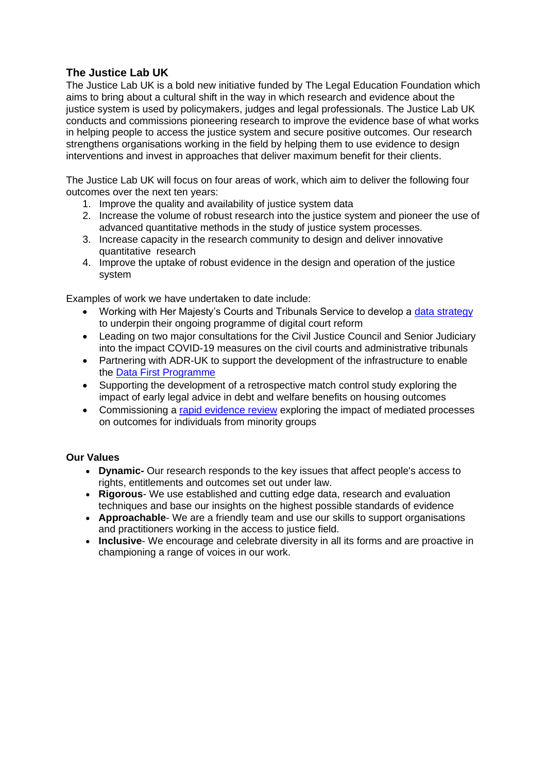# **The Justice Lab UK**

The Justice Lab UK is a bold new initiative funded by The Legal Education Foundation which aims to bring about a cultural shift in the way in which research and evidence about the justice system is used by policymakers, judges and legal professionals. The Justice Lab UK conducts and commissions pioneering research to improve the evidence base of what works in helping people to access the justice system and secure positive outcomes. Our research strengthens organisations working in the field by helping them to use evidence to design interventions and invest in approaches that deliver maximum benefit for their clients.

The Justice Lab UK will focus on four areas of work, which aim to deliver the following four outcomes over the next ten years:

- 1. Improve the quality and availability of justice system data
- 2. Increase the volume of robust research into the justice system and pioneer the use of advanced quantitative methods in the study of justice system processes.
- 3. Increase capacity in the research community to design and deliver innovative quantitative research
- 4. Improve the uptake of robust evidence in the design and operation of the justice system

Examples of work we have undertaken to date include:

- Working with Her Majesty's Courts and Tribunals Service to develop a [data strategy](https://assets.publishing.service.gov.uk/government/uploads/system/uploads/attachment_data/file/835778/DigitalJusticeFINAL.PDF) to underpin their ongoing programme of digital court reform
- Leading on two major consultations for the Civil Justice Council and Senior Judiciary into the impact COVID-19 measures on the civil courts and administrative tribunals
- Partnering with ADR-UK to support the development of the infrastructure to enable the [Data First Programme](https://www.gov.uk/guidance/ministry-of-justice-data-first)
- Supporting the development of a retrospective match control study exploring the impact of early legal advice in debt and welfare benefits on housing outcomes
- Commissioning a [rapid evidence review](https://research.thelegaleducationfoundation.org/wp-content/uploads/2021/10/FINAL-Rapid-Review-Mediation-4-SINGLE-PAGES.pdf) exploring the impact of mediated processes on outcomes for individuals from minority groups

## **Our Values**

- **Dynamic-** Our research responds to the key issues that affect people's access to rights, entitlements and outcomes set out under law.
- **Rigorous** We use established and cutting edge data, research and evaluation techniques and base our insights on the highest possible standards of evidence
- **Approachable** We are a friendly team and use our skills to support organisations and practitioners working in the access to justice field.
- **Inclusive** We encourage and celebrate diversity in all its forms and are proactive in championing a range of voices in our work.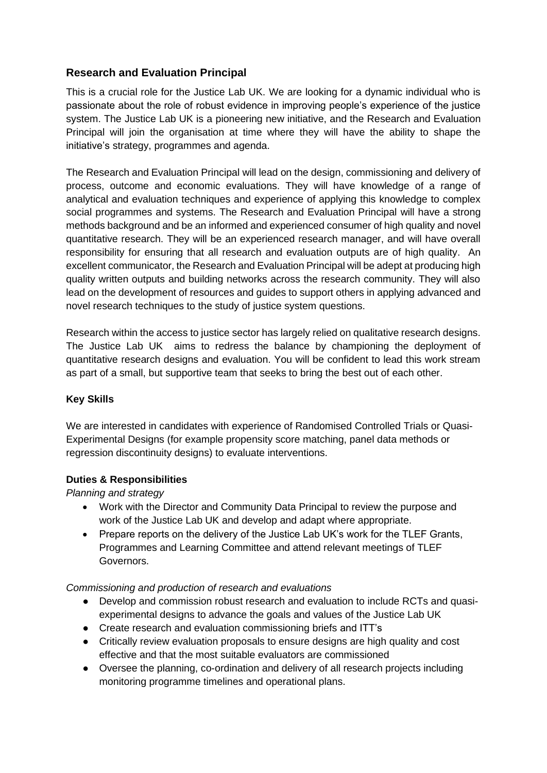# **Research and Evaluation Principal**

This is a crucial role for the Justice Lab UK. We are looking for a dynamic individual who is passionate about the role of robust evidence in improving people's experience of the justice system. The Justice Lab UK is a pioneering new initiative, and the Research and Evaluation Principal will join the organisation at time where they will have the ability to shape the initiative's strategy, programmes and agenda.

The Research and Evaluation Principal will lead on the design, commissioning and delivery of process, outcome and economic evaluations. They will have knowledge of a range of analytical and evaluation techniques and experience of applying this knowledge to complex social programmes and systems. The Research and Evaluation Principal will have a strong methods background and be an informed and experienced consumer of high quality and novel quantitative research. They will be an experienced research manager, and will have overall responsibility for ensuring that all research and evaluation outputs are of high quality. An excellent communicator, the Research and Evaluation Principal will be adept at producing high quality written outputs and building networks across the research community. They will also lead on the development of resources and guides to support others in applying advanced and novel research techniques to the study of justice system questions.

Research within the access to justice sector has largely relied on qualitative research designs. The Justice Lab UK aims to redress the balance by championing the deployment of quantitative research designs and evaluation. You will be confident to lead this work stream as part of a small, but supportive team that seeks to bring the best out of each other.

## **Key Skills**

We are interested in candidates with experience of Randomised Controlled Trials or Quasi-Experimental Designs (for example propensity score matching, panel data methods or regression discontinuity designs) to evaluate interventions.

#### **Duties & Responsibilities**

*Planning and strategy*

- Work with the Director and Community Data Principal to review the purpose and work of the Justice Lab UK and develop and adapt where appropriate.
- Prepare reports on the delivery of the Justice Lab UK's work for the TLEF Grants, Programmes and Learning Committee and attend relevant meetings of TLEF Governors.

#### *Commissioning and production of research and evaluations*

- Develop and commission robust research and evaluation to include RCTs and quasiexperimental designs to advance the goals and values of the Justice Lab UK
- Create research and evaluation commissioning briefs and ITT's
- Critically review evaluation proposals to ensure designs are high quality and cost effective and that the most suitable evaluators are commissioned
- Oversee the planning, co-ordination and delivery of all research projects including monitoring programme timelines and operational plans.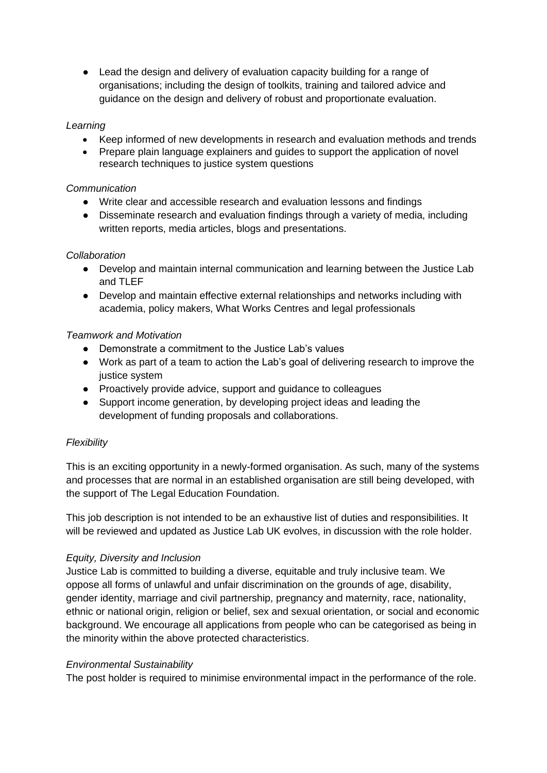● Lead the design and delivery of evaluation capacity building for a range of organisations; including the design of toolkits, training and tailored advice and guidance on the design and delivery of robust and proportionate evaluation.

#### *Learning*

- Keep informed of new developments in research and evaluation methods and trends
- Prepare plain language explainers and guides to support the application of novel research techniques to justice system questions

#### *Communication*

- Write clear and accessible research and evaluation lessons and findings
- Disseminate research and evaluation findings through a variety of media, including written reports, media articles, blogs and presentations.

#### *Collaboration*

- Develop and maintain internal communication and learning between the Justice Lab and TLEF
- Develop and maintain effective external relationships and networks including with academia, policy makers, What Works Centres and legal professionals

#### *Teamwork and Motivation*

- Demonstrate a commitment to the Justice Lab's values
- Work as part of a team to action the Lab's goal of delivering research to improve the justice system
- Proactively provide advice, support and guidance to colleagues
- Support income generation, by developing project ideas and leading the development of funding proposals and collaborations.

## *Flexibility*

This is an exciting opportunity in a newly-formed organisation. As such, many of the systems and processes that are normal in an established organisation are still being developed, with the support of The Legal Education Foundation.

This job description is not intended to be an exhaustive list of duties and responsibilities. It will be reviewed and updated as Justice Lab UK evolves, in discussion with the role holder.

#### *Equity, Diversity and Inclusion*

Justice Lab is committed to building a diverse, equitable and truly inclusive team. We oppose all forms of unlawful and unfair discrimination on the grounds of age, disability, gender identity, marriage and civil partnership, pregnancy and maternity, race, nationality, ethnic or national origin, religion or belief, sex and sexual orientation, or social and economic background. We encourage all applications from people who can be categorised as being in the minority within the above protected characteristics.

#### *Environmental Sustainability*

The post holder is required to minimise environmental impact in the performance of the role.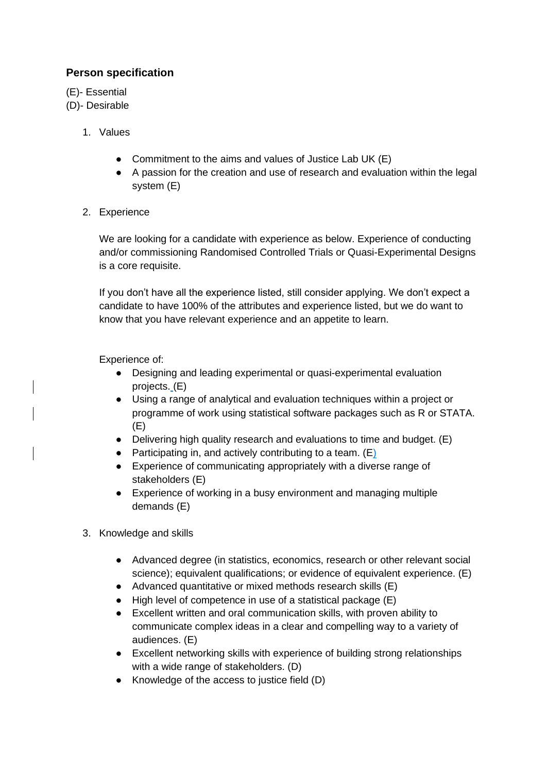# **Person specification**

(E)- Essential

- (D)- Desirable
	- 1. Values
		- Commitment to the aims and values of Justice Lab UK (E)
		- A passion for the creation and use of research and evaluation within the legal system (E)
	- 2. Experience

We are looking for a candidate with experience as below. Experience of conducting and/or commissioning Randomised Controlled Trials or Quasi-Experimental Designs is a core requisite.

If you don't have all the experience listed, still consider applying. We don't expect a candidate to have 100% of the attributes and experience listed, but we do want to know that you have relevant experience and an appetite to learn.

Experience of:

- Designing and leading experimental or quasi-experimental evaluation projects. (E)
- Using a range of analytical and evaluation techniques within a project or programme of work using statistical software packages such as R or STATA. (E)
- Delivering high quality research and evaluations to time and budget. (E)
- Participating in, and actively contributing to a team.  $(E)$
- Experience of communicating appropriately with a diverse range of stakeholders (E)
- Experience of working in a busy environment and managing multiple demands (E)
- 3. Knowledge and skills
	- Advanced degree (in statistics, economics, research or other relevant social science); equivalent qualifications; or evidence of equivalent experience. (E)
	- Advanced quantitative or mixed methods research skills (E)
	- High level of competence in use of a statistical package (E)
	- Excellent written and oral communication skills, with proven ability to communicate complex ideas in a clear and compelling way to a variety of audiences. (E)
	- Excellent networking skills with experience of building strong relationships with a wide range of stakeholders. (D)
	- Knowledge of the access to justice field (D)